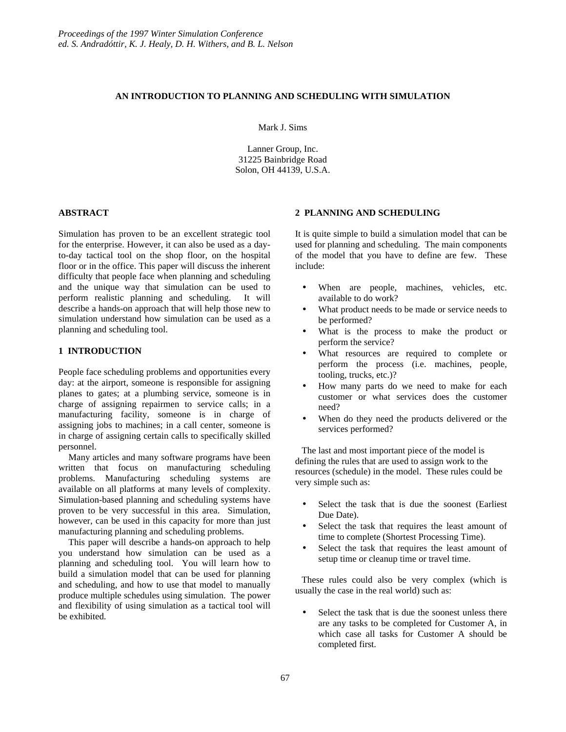## **AN INTRODUCTION TO PLANNING AND SCHEDULING WITH SIMULATION**

Mark J. Sims

Lanner Group, Inc. 31225 Bainbridge Road Solon, OH 44139, U.S.A.

## **ABSTRACT**

Simulation has proven to be an excellent strategic tool for the enterprise. However, it can also be used as a dayto-day tactical tool on the shop floor, on the hospital floor or in the office. This paper will discuss the inherent difficulty that people face when planning and scheduling and the unique way that simulation can be used to perform realistic planning and scheduling. It will describe a hands-on approach that will help those new to simulation understand how simulation can be used as a planning and scheduling tool.

# **1 INTRODUCTION**

People face scheduling problems and opportunities every day: at the airport, someone is responsible for assigning planes to gates; at a plumbing service, someone is in charge of assigning repairmen to service calls; in a manufacturing facility, someone is in charge of assigning jobs to machines; in a call center, someone is in charge of assigning certain calls to specifically skilled personnel.

Many articles and many software programs have been written that focus on manufacturing scheduling problems. Manufacturing scheduling systems are available on all platforms at many levels of complexity. Simulation-based planning and scheduling systems have proven to be very successful in this area. Simulation, however, can be used in this capacity for more than just manufacturing planning and scheduling problems.

This paper will describe a hands-on approach to help you understand how simulation can be used as a planning and scheduling tool. You will learn how to build a simulation model that can be used for planning and scheduling, and how to use that model to manually produce multiple schedules using simulation. The power and flexibility of using simulation as a tactical tool will be exhibited.

## **2 PLANNING AND SCHEDULING**

It is quite simple to build a simulation model that can be used for planning and scheduling. The main components of the model that you have to define are few. These include:

- When are people, machines, vehicles, etc. available to do work?
- What product needs to be made or service needs to be performed?
- What is the process to make the product or perform the service?
- What resources are required to complete or perform the process (i.e. machines, people, tooling, trucks, etc.)?
- How many parts do we need to make for each customer or what services does the customer need?
- When do they need the products delivered or the services performed?

The last and most important piece of the model is defining the rules that are used to assign work to the resources (schedule) in the model. These rules could be very simple such as:

- Select the task that is due the soonest (Earliest Due Date).
- Select the task that requires the least amount of time to complete (Shortest Processing Time).
- Select the task that requires the least amount of setup time or cleanup time or travel time.

These rules could also be very complex (which is usually the case in the real world) such as:

Select the task that is due the soonest unless there are any tasks to be completed for Customer A, in which case all tasks for Customer A should be completed first.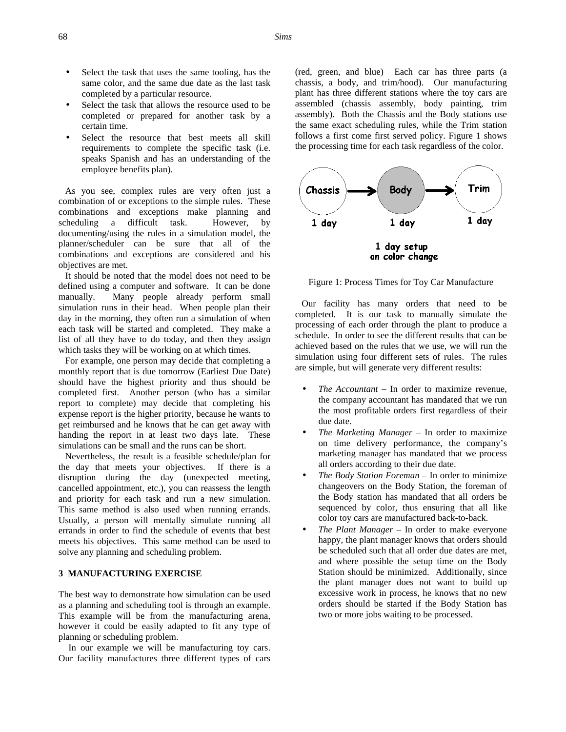- Select the task that uses the same tooling, has the same color, and the same due date as the last task completed by a particular resource.
- Select the task that allows the resource used to be completed or prepared for another task by a certain time.
- Select the resource that best meets all skill requirements to complete the specific task (i.e. speaks Spanish and has an understanding of the employee benefits plan).

As you see, complex rules are very often just a combination of or exceptions to the simple rules. These combinations and exceptions make planning and scheduling a difficult task. However, by documenting/using the rules in a simulation model, the planner/scheduler can be sure that all of the combinations and exceptions are considered and his objectives are met.

It should be noted that the model does not need to be defined using a computer and software. It can be done manually. Many people already perform small simulation runs in their head. When people plan their day in the morning, they often run a simulation of when each task will be started and completed. They make a list of all they have to do today, and then they assign which tasks they will be working on at which times.

For example, one person may decide that completing a monthly report that is due tomorrow (Earliest Due Date) should have the highest priority and thus should be completed first. Another person (who has a similar report to complete) may decide that completing his expense report is the higher priority, because he wants to get reimbursed and he knows that he can get away with handing the report in at least two days late. These simulations can be small and the runs can be short.

Nevertheless, the result is a feasible schedule/plan for the day that meets your objectives. If there is a disruption during the day (unexpected meeting, cancelled appointment, etc.), you can reassess the length and priority for each task and run a new simulation. This same method is also used when running errands. Usually, a person will mentally simulate running all errands in order to find the schedule of events that best meets his objectives. This same method can be used to solve any planning and scheduling problem.

#### **3 MANUFACTURING EXERCISE**

The best way to demonstrate how simulation can be used as a planning and scheduling tool is through an example. This example will be from the manufacturing arena, however it could be easily adapted to fit any type of planning or scheduling problem.

In our example we will be manufacturing toy cars. Our facility manufactures three different types of cars (red, green, and blue) Each car has three parts (a chassis, a body, and trim/hood). Our manufacturing plant has three different stations where the toy cars are assembled (chassis assembly, body painting, trim assembly). Both the Chassis and the Body stations use the same exact scheduling rules, while the Trim station follows a first come first served policy. Figure 1 shows the processing time for each task regardless of the color.



Figure 1: Process Times for Toy Car Manufacture

Our facility has many orders that need to be completed. It is our task to manually simulate the processing of each order through the plant to produce a schedule. In order to see the different results that can be achieved based on the rules that we use, we will run the simulation using four different sets of rules. The rules are simple, but will generate very different results:

- *The Accountant* In order to maximize revenue, the company accountant has mandated that we run the most profitable orders first regardless of their due date.
- *The Marketing Manager* In order to maximize on time delivery performance, the company's marketing manager has mandated that we process all orders according to their due date.
- *The Body Station Foreman* In order to minimize changeovers on the Body Station, the foreman of the Body station has mandated that all orders be sequenced by color, thus ensuring that all like color toy cars are manufactured back-to-back.
- *The Plant Manager* In order to make everyone happy, the plant manager knows that orders should be scheduled such that all order due dates are met, and where possible the setup time on the Body Station should be minimized. Additionally, since the plant manager does not want to build up excessive work in process, he knows that no new orders should be started if the Body Station has two or more jobs waiting to be processed.